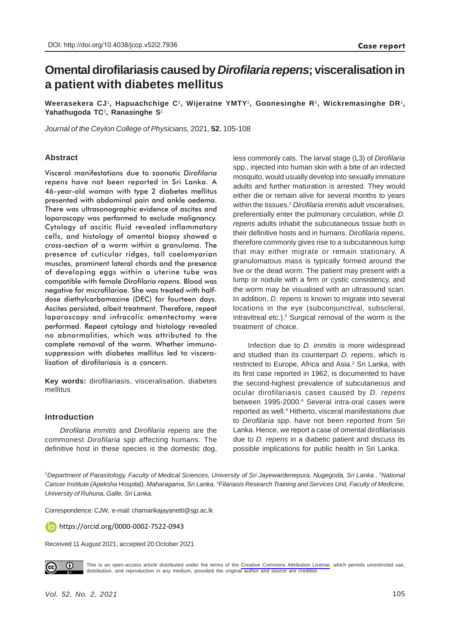# **Omental dirofilariasis caused by** *Dirofilaria repens***; visceralisation in a patient with diabetes mellitus**

**Weerasekera CJ**1**, Hapuachchige C**2**, Wijeratne YMTY**2**, Goonesinghe R**2**, Wickremasinghe DR**1**, Yahathugoda TC**3**, Ranasinghe S**<sup>1</sup>

*Journal of the Ceylon College of Physicians,* 2021, **52**, 105-108

# **Abstract**

Visceral manifestations due to zoonotic *Dirofilaria repens* have not been reported in Sri Lanka. A 46-year-old woman with type 2 diabetes mellitus presented with abdominal pain and ankle oedema. There was ultrasonographic evidence of ascites and laparoscopy was performed to exclude malignancy. Cytology of ascitic fluid revealed inflammatory cells, and histology of omental biopsy showed a cross-section of a worm within a granuloma. The presence of cuticular ridges, tall coelomyarian muscles, prominent lateral chords and the presence of developing eggs within a uterine tube was compatible with female *Dirofilaria repens.* Blood was negative for microfilariae. She was treated with halfdose diethylcarbamazine (DEC) for fourteen days. Ascites persisted, albeit treatment. Therefore, repeat laparoscopy and infracolic omentectomy were performed. Repeat cytology and histology revealed no abnormalities, which was attributed to the complete removal of the worm. Whether immunosuppression with diabetes mellitus led to visceralisation of dirofilariasis is a concern.

**Key words:** dirofilariasis, visceralisation, diabetes mellitus

### **Introduction**

*Dirofilaria immitis* and *Dirofilaria repens* are the commonest *Dirofilaria* spp affecting humans. The definitive host in these species is the domestic dog,

less commonly cats. The larval stage (L3) of *Dirofilaria* spp., injected into human skin with a bite of an infected mosquito, would usually develop into sexually immature adults and further maturation is arrested. They would either die or remain alive for several months to years within the tissues.1 *Dirofilaria immitis* adult visceralises, preferentially enter the pulmonary circulation, while *D. repens* adults inhabit the subcutaneous tissue both in their definitive hosts and in humans. *Dirofilaria repens*, therefore commonly gives rise to a subcutaneous lump that may either migrate or remain stationary. A granulomatous mass is typically formed around the live or the dead worm. The patient may present with a lump or nodule with a firm or cystic consistency, and the worm may be visualised with an ultrasound scan. In addition, *D. repens* is known to migrate into several locations in the eye (subconjunctival, subscleral, intravitreal etc.).<sup>2</sup> Surgical removal of the worm is the treatment of choice.

Infection due to *D. immitis* is more widespread and studied than its counterpart *D. repens*, which is restricted to Europe, Africa and Asia.<sup>3</sup> Sri Lanka, with its first case reported in 1962, is documented to have the second-highest prevalence of subcutaneous and ocular dirofilariasis cases caused by *D. repens* between 1995-2000.<sup>4</sup> Several intra-oral cases were reported as well.<sup>4</sup> Hitherto, visceral manifestations due to *Dirofilaria* spp. have not been reported from Sri Lanka. Hence, we report a case of omental dirofilariasis due to *D. repens* in a diabetic patient and discuss its possible implications for public health in Sri Lanka.

<sup>1</sup>Department of Parasitology, Faculty of Medical Sciences, University of Sri Jayewardenepura, Nugegoda, Sri Lanka , <sup>2</sup>National *Cancer Institute (Apeksha Hospital), Maharagama, Sri Lanka,* <sup>3</sup>*Filariasis Research Training and Services Unit, Faculty of Medicine, University of Ruhuna, Galle, Sri Lanka.*

Correspondence: CJW, e-mail: chamarikajayanetti@sjp.ac.lk

https://orcid.org/0000-0002-7522-0943

Received 11 August 2021, accepted 20 October 2021



This is an open-access article distributed under the terms of the [Creative Commons Attribution License](https://creativecommons.org/licenses/by/4.0/legalcode), which permits unrestricted use, distribution, and reproduction in any medium, provided the original author and source are credited.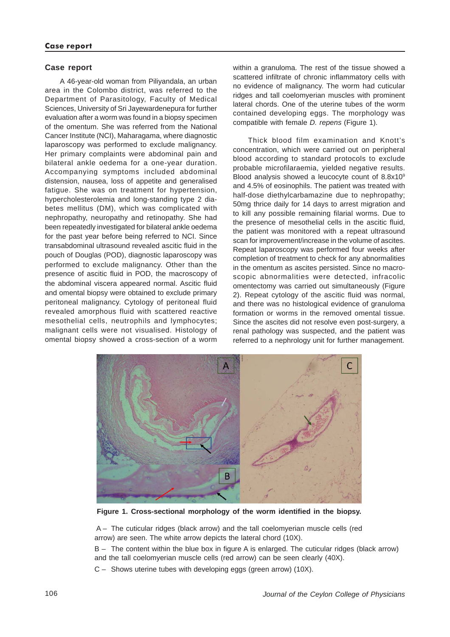## **Case report**

A 46-year-old woman from Piliyandala, an urban area in the Colombo district, was referred to the Department of Parasitology, Faculty of Medical Sciences, University of Sri Jayewardenepura for further evaluation after a worm was found in a biopsy specimen of the omentum. She was referred from the National Cancer Institute (NCI), Maharagama, where diagnostic laparoscopy was performed to exclude malignancy. Her primary complaints were abdominal pain and bilateral ankle oedema for a one-year duration. Accompanying symptoms included abdominal distension, nausea, loss of appetite and generalised fatigue. She was on treatment for hypertension, hypercholesterolemia and long-standing type 2 diabetes mellitus (DM), which was complicated with nephropathy, neuropathy and retinopathy. She had been repeatedly investigated for bilateral ankle oedema for the past year before being referred to NCI. Since transabdominal ultrasound revealed ascitic fluid in the pouch of Douglas (POD), diagnostic laparoscopy was performed to exclude malignancy. Other than the presence of ascitic fluid in POD, the macroscopy of the abdominal viscera appeared normal. Ascitic fluid and omental biopsy were obtained to exclude primary peritoneal malignancy. Cytology of peritoneal fluid revealed amorphous fluid with scattered reactive mesothelial cells, neutrophils and lymphocytes; malignant cells were not visualised. Histology of omental biopsy showed a cross-section of a worm

within a granuloma. The rest of the tissue showed a scattered infiltrate of chronic inflammatory cells with no evidence of malignancy. The worm had cuticular ridges and tall coelomyerian muscles with prominent lateral chords. One of the uterine tubes of the worm contained developing eggs. The morphology was compatible with female *D. repens* (Figure 1).

Thick blood film examination and Knott's concentration, which were carried out on peripheral blood according to standard protocols to exclude probable microfilaraemia, yielded negative results. Blood analysis showed a leucocyte count of  $8.8x10<sup>9</sup>$ and 4.5% of eosinophils. The patient was treated with half-dose diethylcarbamazine due to nephropathy; 50mg thrice daily for 14 days to arrest migration and to kill any possible remaining filarial worms. Due to the presence of mesothelial cells in the ascitic fluid, the patient was monitored with a repeat ultrasound scan for improvement/increase in the volume of ascites. Repeat laparoscopy was performed four weeks after completion of treatment to check for any abnormalities in the omentum as ascites persisted. Since no macroscopic abnormalities were detected, infracolic omentectomy was carried out simultaneously (Figure 2). Repeat cytology of the ascitic fluid was normal, and there was no histological evidence of granuloma formation or worms in the removed omental tissue. Since the ascites did not resolve even post-surgery, a renal pathology was suspected, and the patient was referred to a nephrology unit for further management.



**Figure 1. Cross-sectional morphology of the worm identified in the biopsy.**

 A – The cuticular ridges (black arrow) and the tall coelomyerian muscle cells (red arrow) are seen. The white arrow depicts the lateral chord (10X).

B – The content within the blue box in figure A is enlarged. The cuticular ridges (black arrow) and the tall coelomyerian muscle cells (red arrow) can be seen clearly (40X).

C – Shows uterine tubes with developing eggs (green arrow) (10X).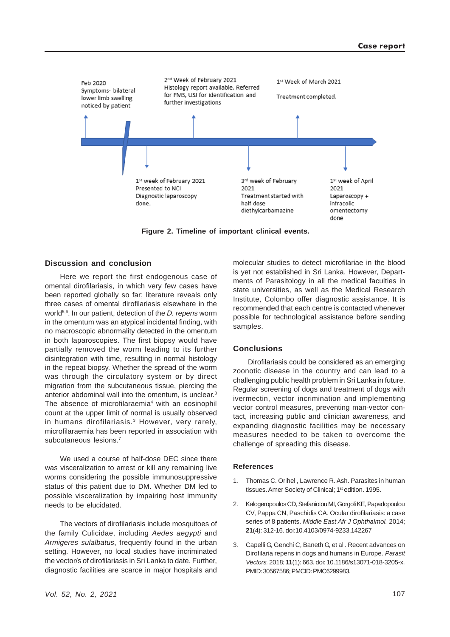

**Figure 2. Timeline of important clinical events.**

# **Discussion and conclusion**

Here we report the first endogenous case of omental dirofilariasis, in which very few cases have been reported globally so far; literature reveals only three cases of omental dirofilariasis elsewhere in the world5,6. In our patient, detection of the *D. repens* worm in the omentum was an atypical incidental finding, with no macroscopic abnormality detected in the omentum in both laparoscopies. The first biopsy would have partially removed the worm leading to its further disintegration with time, resulting in normal histology in the repeat biopsy. Whether the spread of the worm was through the circulatory system or by direct migration from the subcutaneous tissue, piercing the anterior abdominal wall into the omentum, is unclear.<sup>3</sup> The absence of microfilaraemia<sup>4</sup> with an eosinophil count at the upper limit of normal is usually observed in humans dirofilariasis.<sup>3</sup> However, very rarely, microfilaraemia has been reported in association with subcutaneous lesions.<sup>7</sup>

We used a course of half-dose DEC since there was visceralization to arrest or kill any remaining live worms considering the possible immunosuppressive status of this patient due to DM. Whether DM led to possible visceralization by impairing host immunity needs to be elucidated.

The vectors of dirofilariasis include mosquitoes of the family Culicidae, including *Aedes aegypti* and *Armigeres sulalbatus*, frequently found in the urban setting. However, no local studies have incriminated the vector/s of dirofilariasis in Sri Lanka to date. Further, diagnostic facilities are scarce in major hospitals and

molecular studies to detect microfilariae in the blood is yet not established in Sri Lanka. However, Departments of Parasitology in all the medical faculties in state universities, as well as the Medical Research Institute, Colombo offer diagnostic assistance. It is recommended that each centre is contacted whenever possible for technological assistance before sending samples.

## **Conclusions**

Dirofilariasis could be considered as an emerging zoonotic disease in the country and can lead to a challenging public health problem in Sri Lanka in future. Regular screening of dogs and treatment of dogs with ivermectin, vector incrimination and implementing vector control measures, preventing man-vector contact, increasing public and clinician awareness, and expanding diagnostic facilities may be necessary measures needed to be taken to overcome the challenge of spreading this disease.

#### **References**

- 1. Thomas C. Orihel , Lawrence R. Ash. Parasites in human tissues. Amer Society of Clinical; 1<sup>st</sup> edition. 1995.
- 2. Kalogeropoulos CD, Stefaniotou MI, Gorgoli KE, Papadopoulou CV, Pappa CN, Paschidis CA. Ocular dirofilariasis: a case series of 8 patients. *Middle East Afr J Ophthalmol.* 2014; **21**(4): 312-16. doi:10.4103/0974-9233.142267
- 3. Capelli G, Genchi C, Baneth G, et al . Recent advances on Dirofilaria repens in dogs and humans in Europe. *Parasit Vectors.* 2018; **11**(1): 663. doi: 10.1186/s13071-018-3205-x. PMID: 30567586; PMCID: PMC6299983.